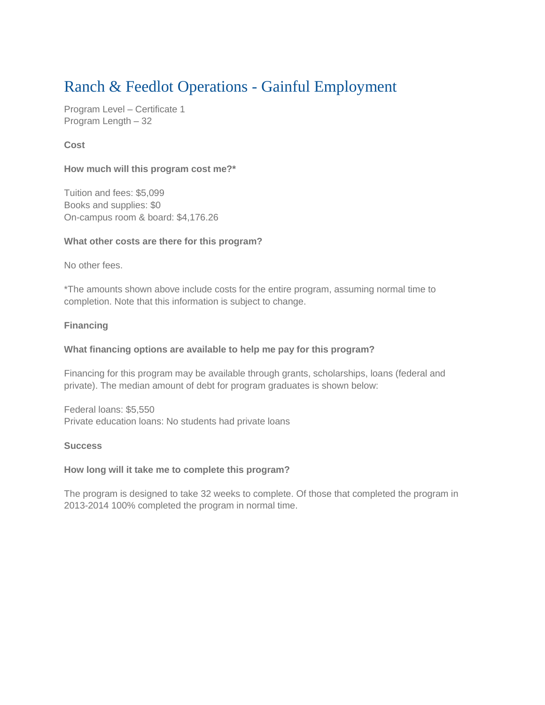# Ranch & Feedlot Operations - Gainful Employment

Program Level – Certificate 1 Program Length – 32

## **Cost**

## **How much will this program cost me?\***

Tuition and fees: \$5,099 Books and supplies: \$0 On-campus room & board: \$4,176.26

## **What other costs are there for this program?**

No other fees.

\*The amounts shown above include costs for the entire program, assuming normal time to completion. Note that this information is subject to change.

## **Financing**

#### **What financing options are available to help me pay for this program?**

Financing for this program may be available through grants, scholarships, loans (federal and private). The median amount of debt for program graduates is shown below:

Federal loans: \$5,550 Private education loans: No students had private loans

#### **Success**

#### **How long will it take me to complete this program?**

The program is designed to take 32 weeks to complete. Of those that completed the program in 2013-2014 100% completed the program in normal time.